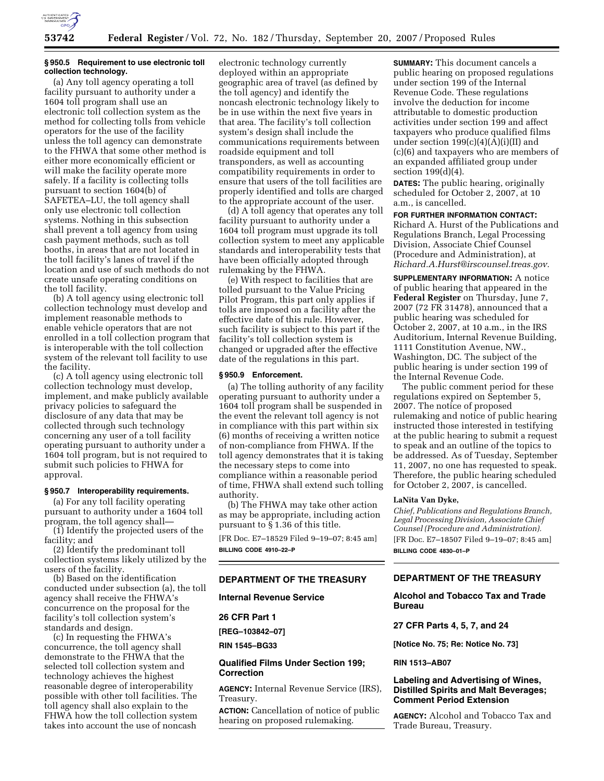

## **§ 950.5 Requirement to use electronic toll collection technology.**

(a) Any toll agency operating a toll facility pursuant to authority under a 1604 toll program shall use an electronic toll collection system as the method for collecting tolls from vehicle operators for the use of the facility unless the toll agency can demonstrate to the FHWA that some other method is either more economically efficient or will make the facility operate more safely. If a facility is collecting tolls pursuant to section 1604(b) of SAFETEA–LU, the toll agency shall only use electronic toll collection systems. Nothing in this subsection shall prevent a toll agency from using cash payment methods, such as toll booths, in areas that are not located in the toll facility's lanes of travel if the location and use of such methods do not create unsafe operating conditions on the toll facility.

(b) A toll agency using electronic toll collection technology must develop and implement reasonable methods to enable vehicle operators that are not enrolled in a toll collection program that is interoperable with the toll collection system of the relevant toll facility to use the facility.

(c) A toll agency using electronic toll collection technology must develop, implement, and make publicly available privacy policies to safeguard the disclosure of any data that may be collected through such technology concerning any user of a toll facility operating pursuant to authority under a 1604 toll program, but is not required to submit such policies to FHWA for approval.

#### **§ 950.7 Interoperability requirements.**

(a) For any toll facility operating pursuant to authority under a 1604 toll program, the toll agency shall—

(1) Identify the projected users of the facility; and

(2) Identify the predominant toll collection systems likely utilized by the users of the facility.

(b) Based on the identification conducted under subsection (a), the toll agency shall receive the FHWA's concurrence on the proposal for the facility's toll collection system's standards and design.

(c) In requesting the FHWA's concurrence, the toll agency shall demonstrate to the FHWA that the selected toll collection system and technology achieves the highest reasonable degree of interoperability possible with other toll facilities. The toll agency shall also explain to the FHWA how the toll collection system takes into account the use of noncash

electronic technology currently deployed within an appropriate geographic area of travel (as defined by the toll agency) and identify the noncash electronic technology likely to be in use within the next five years in that area. The facility's toll collection system's design shall include the communications requirements between roadside equipment and toll transponders, as well as accounting compatibility requirements in order to ensure that users of the toll facilities are properly identified and tolls are charged to the appropriate account of the user.

(d) A toll agency that operates any toll facility pursuant to authority under a 1604 toll program must upgrade its toll collection system to meet any applicable standards and interoperability tests that have been officially adopted through rulemaking by the FHWA.

(e) With respect to facilities that are tolled pursuant to the Value Pricing Pilot Program, this part only applies if tolls are imposed on a facility after the effective date of this rule. However, such facility is subject to this part if the facility's toll collection system is changed or upgraded after the effective date of the regulations in this part.

## **§ 950.9 Enforcement.**

(a) The tolling authority of any facility operating pursuant to authority under a 1604 toll program shall be suspended in the event the relevant toll agency is not in compliance with this part within six (6) months of receiving a written notice of non-compliance from FHWA. If the toll agency demonstrates that it is taking the necessary steps to come into compliance within a reasonable period of time, FHWA shall extend such tolling authority.

(b) The FHWA may take other action as may be appropriate, including action pursuant to § 1.36 of this title.

[FR Doc. E7–18529 Filed 9–19–07; 8:45 am] **BILLING CODE 4910–22–P** 

## **DEPARTMENT OF THE TREASURY**

**Internal Revenue Service** 

**26 CFR Part 1** 

**[REG–103842–07]** 

**RIN 1545–BG33** 

# **Qualified Films Under Section 199; Correction**

**AGENCY:** Internal Revenue Service (IRS), Treasury.

**ACTION:** Cancellation of notice of public hearing on proposed rulemaking.

**SUMMARY:** This document cancels a public hearing on proposed regulations under section 199 of the Internal Revenue Code. These regulations involve the deduction for income attributable to domestic production activities under section 199 and affect taxpayers who produce qualified films under section  $199(c)(4)(A)(i)(II)$  and (c)(6) and taxpayers who are members of an expanded affiliated group under section 199(d)(4).

**DATES:** The public hearing, originally scheduled for October 2, 2007, at 10 a.m., is cancelled.

**FOR FURTHER INFORMATION CONTACT:**  Richard A. Hurst of the Publications and Regulations Branch, Legal Processing Division, Associate Chief Counsel (Procedure and Administration), at *Richard.A.Hurst@irscounsel.treas.gov.* 

**SUPPLEMENTARY INFORMATION:** A notice of public hearing that appeared in the **Federal Register** on Thursday, June 7, 2007 (72 FR 31478), announced that a public hearing was scheduled for October 2, 2007, at 10 a.m., in the IRS Auditorium, Internal Revenue Building, 1111 Constitution Avenue, NW., Washington, DC. The subject of the public hearing is under section 199 of the Internal Revenue Code.

The public comment period for these regulations expired on September 5, 2007. The notice of proposed rulemaking and notice of public hearing instructed those interested in testifying at the public hearing to submit a request to speak and an outline of the topics to be addressed. As of Tuesday, September 11, 2007, no one has requested to speak. Therefore, the public hearing scheduled for October 2, 2007, is cancelled.

## **LaNita Van Dyke,**

*Chief, Publications and Regulations Branch, Legal Processing Division, Associate Chief Counsel (Procedure and Administration).*  [FR Doc. E7–18507 Filed 9–19–07; 8:45 am] **BILLING CODE 4830–01–P** 

# **DEPARTMENT OF THE TREASURY**

**Alcohol and Tobacco Tax and Trade Bureau** 

**27 CFR Parts 4, 5, 7, and 24** 

**[Notice No. 75; Re: Notice No. 73]** 

#### **RIN 1513–AB07**

# **Labeling and Advertising of Wines, Distilled Spirits and Malt Beverages; Comment Period Extension**

**AGENCY:** Alcohol and Tobacco Tax and Trade Bureau, Treasury.